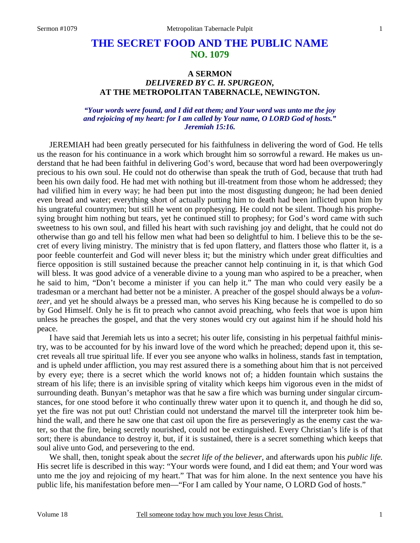# **THE SECRET FOOD AND THE PUBLIC NAME NO. 1079**

# **A SERMON**  *DELIVERED BY C. H. SPURGEON,*  **AT THE METROPOLITAN TABERNACLE, NEWINGTON.**

### *"Your words were found, and I did eat them; and Your word was unto me the joy and rejoicing of my heart: for I am called by Your name, O LORD God of hosts." Jeremiah 15:16.*

JEREMIAH had been greatly persecuted for his faithfulness in delivering the word of God. He tells us the reason for his continuance in a work which brought him so sorrowful a reward. He makes us understand that he had been faithful in delivering God's word, because that word had been overpoweringly precious to his own soul. He could not do otherwise than speak the truth of God, because that truth had been his own daily food. He had met with nothing but ill-treatment from those whom he addressed; they had vilified him in every way; he had been put into the most disgusting dungeon; he had been denied even bread and water; everything short of actually putting him to death had been inflicted upon him by his ungrateful countrymen; but still he went on prophesying. He could not be silent. Though his prophesying brought him nothing but tears, yet he continued still to prophesy; for God's word came with such sweetness to his own soul, and filled his heart with such ravishing joy and delight, that he could not do otherwise than go and tell his fellow men what had been so delightful to him. I believe this to be the secret of every living ministry. The ministry that is fed upon flattery, and flatters those who flatter it, is a poor feeble counterfeit and God will never bless it; but the ministry which under great difficulties and fierce opposition is still sustained because the preacher cannot help continuing in it, is that which God will bless. It was good advice of a venerable divine to a young man who aspired to be a preacher, when he said to him, "Don't become a minister if you can help it." The man who could very easily be a tradesman or a merchant had better not be a minister. A preacher of the gospel should always be a *volunteer,* and yet he should always be a pressed man, who serves his King because he is compelled to do so by God Himself. Only he is fit to preach who cannot avoid preaching, who feels that woe is upon him unless he preaches the gospel, and that the very stones would cry out against him if he should hold his peace.

I have said that Jeremiah lets us into a secret; his outer life, consisting in his perpetual faithful ministry, was to be accounted for by his inward love of the word which he preached; depend upon it, this secret reveals all true spiritual life. If ever you see anyone who walks in holiness, stands fast in temptation, and is upheld under affliction, you may rest assured there is a something about him that is not perceived by every eye; there is a secret which the world knows not of; a hidden fountain which sustains the stream of his life; there is an invisible spring of vitality which keeps him vigorous even in the midst of surrounding death. Bunyan's metaphor was that he saw a fire which was burning under singular circumstances, for one stood before it who continually threw water upon it to quench it, and though he did so, yet the fire was not put out! Christian could not understand the marvel till the interpreter took him behind the wall, and there he saw one that cast oil upon the fire as perseveringly as the enemy cast the water, so that the fire, being secretly nourished, could not be extinguished. Every Christian's life is of that sort; there is abundance to destroy it, but, if it is sustained, there is a secret something which keeps that soul alive unto God, and persevering to the end.

We shall, then, tonight speak about the *secret life of the believer,* and afterwards upon his *public life.* His secret life is described in this way: "Your words were found, and I did eat them; and Your word was unto me the joy and rejoicing of my heart." That was for him alone. In the next sentence you have his public life, his manifestation before men—"For I am called by Your name, O LORD God of hosts."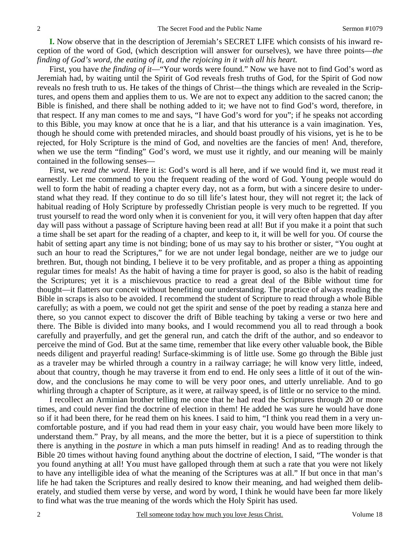**I.** Now observe that in the description of Jeremiah's SECRET LIFE which consists of his inward reception of the word of God, (which description will answer for ourselves), we have three points—*the finding of God's word, the eating of it, and the rejoicing in it with all his heart.* 

First, you have *the finding of it*—"Your words were found." Now we have not to find God's word as Jeremiah had, by waiting until the Spirit of God reveals fresh truths of God, for the Spirit of God now reveals no fresh truth to us. He takes of the things of Christ—the things which are revealed in the Scriptures, and opens them and applies them to us. We are not to expect any addition to the sacred canon; the Bible is finished, and there shall be nothing added to it; we have not to find God's word, therefore, in that respect. If any man comes to me and says, "I have God's word for you"; if he speaks not according to this Bible, you may know at once that he is a liar, and that his utterance is a vain imagination. Yes, though he should come with pretended miracles, and should boast proudly of his visions, yet is he to be rejected, for Holy Scripture is the mind of God, and novelties are the fancies of men! And, therefore, when we use the term "finding" God's word, we must use it rightly, and our meaning will be mainly contained in the following senses—

First, we *read the word.* Here it is: God's word is all here, and if we would find it, we must read it earnestly. Let me commend to you the frequent reading of the word of God. Young people would do well to form the habit of reading a chapter every day, not as a form, but with a sincere desire to understand what they read. If they continue to do so till life's latest hour, they will not regret it; the lack of habitual reading of Holy Scripture by professedly Christian people is very much to be regretted. If you trust yourself to read the word only when it is convenient for you, it will very often happen that day after day will pass without a passage of Scripture having been read at all! But if you make it a point that such a time shall be set apart for the reading of a chapter, and keep to it, it will be well for you. Of course the habit of setting apart any time is not binding; bone of us may say to his brother or sister, "You ought at such an hour to read the Scriptures," for we are not under legal bondage, neither are we to judge our brethren. But, though not binding, I believe it to be very profitable, and as proper a thing as appointing regular times for meals! As the habit of having a time for prayer is good, so also is the habit of reading the Scriptures; yet it is a mischievous practice to read a great deal of the Bible without time for thought—it flatters our conceit without benefiting our understanding. The practice of always reading the Bible in scraps is also to be avoided. I recommend the student of Scripture to read through a whole Bible carefully; as with a poem, we could not get the spirit and sense of the poet by reading a stanza here and there, so you cannot expect to discover the drift of Bible teaching by taking a verse or two here and there. The Bible is divided into many books, and I would recommend you all to read through a book carefully and prayerfully, and get the general run, and catch the drift of the author, and so endeavor to perceive the mind of God. But at the same time, remember that like every other valuable book, the Bible needs diligent and prayerful reading! Surface-skimming is of little use. Some go through the Bible just as a traveler may be whirled through a country in a railway carriage; he will know very little, indeed, about that country, though he may traverse it from end to end. He only sees a little of it out of the window, and the conclusions he may come to will be very poor ones, and utterly unreliable. And to go whirling through a chapter of Scripture, as it were, at railway speed, is of little or no service to the mind.

I recollect an Arminian brother telling me once that he had read the Scriptures through 20 or more times, and could never find the doctrine of election in them! He added he was sure he would have done so if it had been there, for he read them on his knees. I said to him, "I think you read them in a very uncomfortable posture, and if you had read them in your easy chair, you would have been more likely to understand them." Pray, by all means, and the more the better, but it is a piece of superstition to think there is anything in the *posture* in which a man puts himself in reading! And as to reading through the Bible 20 times without having found anything about the doctrine of election, I said, "The wonder is that you found anything at all! You must have galloped through them at such a rate that you were not likely to have any intelligible idea of what the meaning of the Scriptures was at all." If but once in that man's life he had taken the Scriptures and really desired to know their meaning, and had weighed them deliberately, and studied them verse by verse, and word by word, I think he would have been far more likely to find what was the true meaning of the words which the Holy Spirit has used.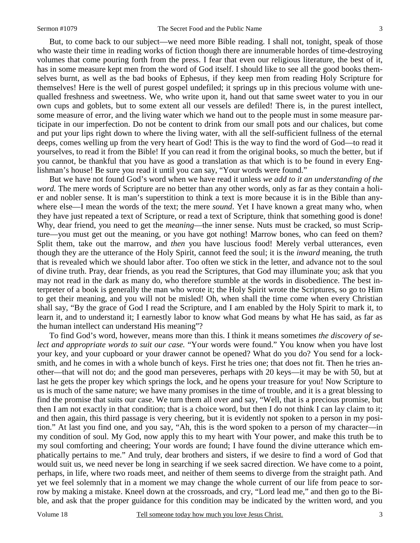3

But, to come back to our subject—we need more Bible reading. I shall not, tonight, speak of those who waste their time in reading works of fiction though there are innumerable hordes of time-destroying volumes that come pouring forth from the press. I fear that even our religious literature, the best of it, has in some measure kept men from the word of God itself. I should like to see all the good books themselves burnt, as well as the bad books of Ephesus, if they keep men from reading Holy Scripture for themselves! Here is the well of purest gospel undefiled; it springs up in this precious volume with unequalled freshness and sweetness. We, who write upon it, hand out that same sweet water to you in our own cups and goblets, but to some extent all our vessels are defiled! There is, in the purest intellect, some measure of error, and the living water which we hand out to the people must in some measure participate in our imperfection. Do not be content to drink from our small pots and our chalices, but come and put your lips right down to where the living water, with all the self-sufficient fullness of the eternal deeps, comes welling up from the very heart of God! This is the way to find the word of God—to read it yourselves, to read it from the Bible! If you can read it from the original books, so much the better, but if you cannot, be thankful that you have as good a translation as that which is to be found in every Englishman's house! Be sure you read it until you can say, "Your words were found."

But we have not found God's word when we have read it unless *we add to it an understanding of the word.* The mere words of Scripture are no better than any other words, only as far as they contain a holier and nobler sense. It is man's superstition to think a text is more because it is in the Bible than anywhere else—I mean the words of the text; the mere *sound*. Yet I have known a great many who, when they have just repeated a text of Scripture, or read a text of Scripture, think that something good is done! Why, dear friend, you need to get the *meaning*—the inner sense. Nuts must be cracked, so must Scripture—you must get out the meaning, or you have got nothing! Marrow bones, who can feed on them? Split them, take out the marrow, and *then* you have luscious food! Merely verbal utterances, even though they are the utterance of the Holy Spirit, cannot feed the soul; it is the *inward* meaning, the truth that is revealed which we should labor after. Too often we stick in the letter, and advance not to the soul of divine truth. Pray, dear friends, as you read the Scriptures, that God may illuminate you; ask that you may not read in the dark as many do, who therefore stumble at the words in disobedience. The best interpreter of a book is generally the man who wrote it; the Holy Spirit wrote the Scriptures, so go to Him to get their meaning, and you will not be misled! Oh, when shall the time come when every Christian shall say, "By the grace of God I read the Scripture, and I am enabled by the Holy Spirit to mark it, to learn it, and to understand it; I earnestly labor to know what God means by what He has said, as far as the human intellect can understand His meaning"?

To find God's word, however, means more than this. I think it means sometimes *the discovery of select and appropriate words to suit our case.* "Your words were found." You know when you have lost your key, and your cupboard or your drawer cannot be opened? What do you do? You send for a locksmith, and he comes in with a whole bunch of keys. First he tries one; that does not fit. Then he tries another—that will not do; and the good man perseveres, perhaps with 20 keys—it may be with 50, but at last he gets the proper key which springs the lock, and he opens your treasure for you! Now Scripture to us is much of the same nature; we have many promises in the time of trouble, and it is a great blessing to find the promise that suits our case. We turn them all over and say, "Well, that is a precious promise, but then I am not exactly in that condition; that is a choice word, but then I do not think I can lay claim to it; and then again, this third passage is very cheering, but it is evidently not spoken to a person in my position." At last you find one, and you say, "Ah, this is the word spoken to a person of my character—in my condition of soul. My God, now apply this to my heart with Your power, and make this truth be to my soul comforting and cheering; Your words are found; I have found the divine utterance which emphatically pertains to me." And truly, dear brothers and sisters, if we desire to find a word of God that would suit us, we need never be long in searching if we seek sacred direction. We have come to a point, perhaps, in life, where two roads meet, and neither of them seems to diverge from the straight path. And yet we feel solemnly that in a moment we may change the whole current of our life from peace to sorrow by making a mistake. Kneel down at the crossroads, and cry, "Lord lead me," and then go to the Bible, and ask that the proper guidance for this condition may be indicated by the written word, and you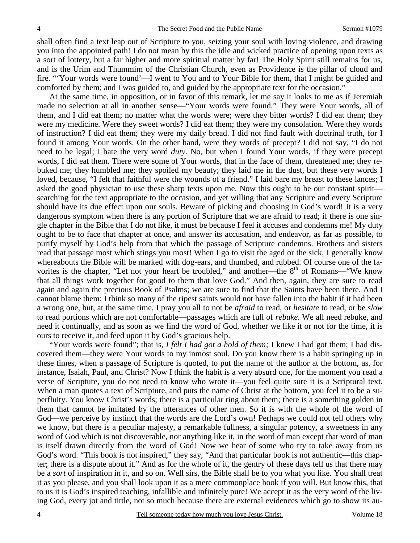shall often find a text leap out of Scripture to you, seizing your soul with loving violence, and drawing you into the appointed path! I do not mean by this the idle and wicked practice of opening upon texts as a sort of lottery, but a far higher and more spiritual matter by far! The Holy Spirit still remains for us, and is the Urim and Thummim of the Christian Church, even as Providence is the pillar of cloud and fire. "'Your words were found'—I went to You and to Your Bible for them, that I might be guided and comforted by them; and I was guided to, and guided by the appropriate text for the occasion."

At the same time, in opposition, or in favor of this remark, let me say it looks to me as if Jeremiah made no selection at all in another sense—"Your words were found." They were Your words, all of them, and I did eat them; no matter what the words were; were they bitter words? I did eat them; they were my medicine. Were they sweet words? I did eat them; they were my consolation. Were they words of instruction? I did eat them; they were my daily bread. I did not find fault with doctrinal truth, for I found it among Your words. On the other hand, were they words of precept? I did not say, "I do not need to be legal; I hate the very word *duty*. No, but when I found Your words, if they were precept words, I did eat them. There were some of Your words, that in the face of them, threatened me; they rebuked me; they humbled me; they spoiled my beauty; they laid me in the dust, but these very words I loved, because, "I felt that faithful were the wounds of a friend." I laid bare my breast to these lances; I asked the good physician to use these sharp texts upon me. Now this ought to be our constant spirit searching for the text appropriate to the occasion, and yet willing that any Scripture and every Scripture should have its due effect upon our souls. Beware of picking and choosing in God's word! It is a very dangerous symptom when there is any portion of Scripture that we are afraid to read; if there is one single chapter in the Bible that I do not like, it must be because I feel it accuses and condemns me! My duty ought to be to face that chapter at once, and answer its accusation, and endeavor, as far as possible, to purify myself by God's help from that which the passage of Scripture condemns. Brothers and sisters read that passage most which stings you most! When I go to visit the aged or the sick, I generally know whereabouts the Bible will be marked with dog-ears, and thumbed, and rubbed. Of course one of the favorites is the chapter, "Let not your heart be troubled," and another—the 8<sup>th</sup> of Romans—"We know that all things work together for good to them that love God." And then, again, they are sure to read again and again the precious Book of Psalms; we are sure to find that the Saints have been there. And I cannot blame them; I think so many of the ripest saints would not have fallen into the habit if it had been a wrong one, but, at the same time, I pray you all to not be *afraid* to read, or *hesitate* to read, or be *slow* to read portions which are not comfortable—passages which are full of *rebuke*. We all need rebuke, and need it continually, and as soon as we find the word of God, whether we like it or not for the time, it is ours to receive it, and feed upon it by God's gracious help.

"Your words were found"; that is, *I felt I had got a hold of them;* I knew I had got them; I had discovered them—they were Your words to my inmost soul. Do you know there is a habit springing up in these times, when a passage of Scripture is quoted, to put the name of the author at the bottom, as, for instance, Isaiah, Paul, and Christ? Now I think the habit is a very absurd one, for the moment you read a verse of Scripture, you do not need to know who wrote it—you feel quite sure it is a Scriptural text. When a man quotes a text of Scripture, and puts the name of Christ at the bottom, you feel it to be a superfluity. You know Christ's words; there is a particular ring about them; there is a something golden in them that cannot be imitated by the utterances of other men. So it is with the whole of the word of God—we perceive by instinct that the words are the Lord's own! Perhaps we could not tell others why we know, but there is a peculiar majesty, a remarkable fullness, a singular potency, a sweetness in any word of God which is not discoverable, nor anything like it, in the word of man except that word of man is itself drawn directly from the word of God! Now we hear of some who try to take away from us God's word. "This book is not inspired," they say, "And that particular book is not authentic—this chapter; there is a dispute about it." And as for the whole of it, the gentry of these days tell us that there may be a *sort* of inspiration in it, and so on. Well sirs, the Bible shall be to you what you like. You shall treat it as you please, and you shall look upon it as a mere commonplace book if you will. But know this, that to us it is God's inspired teaching, infallible and infinitely pure! We accept it as the very word of the living God, every jot and tittle, not so much because there are external evidences which go to show its au-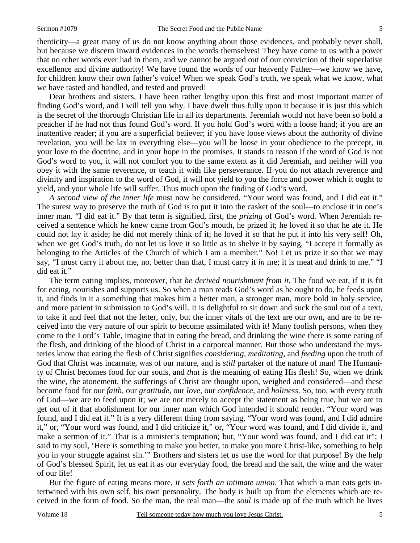thenticity—a great many of us do not know anything about those evidences, and probably never shall, but because we discern inward evidences in the words themselves! They have come to us with a power that no other words ever had in them, and we cannot be argued out of our conviction of their superlative excellence and divine authority! We have found the words of our heavenly Father—we know we have, for children know their own father's voice! When we speak God's truth, we speak what we know, what we have tasted and handled, and tested and proved!

Dear brothers and sisters, I have been rather lengthy upon this first and most important matter of finding God's word, and I will tell you why. I have dwelt thus fully upon it because it is just this which is the secret of the thorough Christian life in all its departments. Jeremiah would not have been so bold a preacher if he had not thus found God's word. If you hold God's word with a loose hand; if you are an inattentive reader; if you are a superficial believer; if you have loose views about the authority of divine revelation, you will be lax in everything else—you will be loose in your obedience to the precept, in your love to the doctrine, and in your hope in the promises. It stands to reason if the word of God is not God's word to you, it will not comfort you to the same extent as it did Jeremiah, and neither will you obey it with the same reverence, or teach it with like perseverance. If you do not attach reverence and divinity and inspiration to the word of God, it will not yield to you the force and power which it ought to yield, and your whole life will suffer. Thus much upon the finding of God's word.

*A second view of the inner life* must now be considered. "Your word was found, and I did eat it." The surest way to preserve the truth of God is to put it into the casket of the soul—to enclose it in one's inner man. "I did eat it." By that term is signified, first, the *prizing* of God's word. When Jeremiah received a sentence which he knew came from God's mouth, he prized it; he loved it so that he ate it. He could not lay it aside; he did not merely think of it; he loved it so that he put it into his very self! Oh, when we get God's truth, do not let us love it so little as to shelve it by saying, "I accept it formally as belonging to the Articles of the Church of which I am a member." No! Let us prize it so that we may say, "I must carry it about me, no, better than that, I must carry it *in* me; it is meat and drink to me." "I did eat it."

The term eating implies, moreover, that *he derived nourishment from it.* The food we eat, if it is fit for eating, nourishes and supports us. So when a man reads God's word as he ought to do, he feeds upon it, and finds in it a something that makes him a better man, a stronger man, more bold in holy service, and more patient in submission to God's will. It is delightful to sit down and suck the soul out of a text, to take it and feel that not the letter, only, but the inner vitals of the text are our own, and are to be received into the very nature of our spirit to become assimilated with it! Many foolish persons, when they come to the Lord's Table, imagine that in eating the bread, and drinking the wine there is some eating of the flesh, and drinking of the blood of Christ in a corporeal manner. But those who understand the mysteries know that eating the flesh of Christ signifies *considering*, *meditating,* and *feeding* upon the truth of God that Christ was incarnate, was of our nature, and is *still* partaker of the nature of man! The Humanity of Christ becomes food for our souls, and *that* is the meaning of eating His flesh! So, when we drink the wine, the atonement, the sufferings of Christ are thought upon, weighed and considered—and these become food for our *faith*, our *gratitude*, our *love*, our *confidence*, and *holiness*. So, too, with every truth of God—we are to feed upon it; we are not merely to accept the statement as being true, but we are to get out of it that abolishment for our inner man which God intended it should render. "Your word was found, and I did eat it." It is a very different thing from saying, "Your word was found, and I did admire it," or, "Your word was found, and I did criticize it," or, "Your word was found, and I did divide it, and make a sermon of it." That is a minister's temptation; but, "Your word was found, and I did eat it"; I said to my soul, 'Here is something to make you better, to make you more Christ-like, something to help you in your struggle against sin.'" Brothers and sisters let us use the word for that purpose! By the help of God's blessed Spirit, let us eat it as our everyday food, the bread and the salt, the wine and the water of our life!

But the figure of eating means more, *it sets forth an intimate union*. That which a man eats gets intertwined with his own self, his own personality. The body is built up from the elements which are received in the form of food. So the man, the real man—the *soul* is made up of the truth which he lives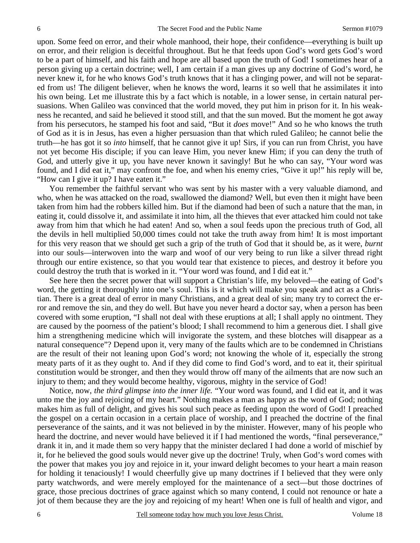upon. Some feed on error, and their whole manhood, their hope, their confidence—everything is built up on error, and their religion is deceitful throughout. But he that feeds upon God's word gets God's word to be a part of himself, and his faith and hope are all based upon the truth of God! I sometimes hear of a person giving up a certain doctrine; well, I am certain if a man gives up any doctrine of God's word, he never knew it, for he who knows God's truth knows that it has a clinging power, and will not be separated from us! The diligent believer, when he knows the word, learns it so well that he assimilates it into his own being. Let me illustrate this by a fact which is notable, in a lower sense, in certain natural persuasions. When Galileo was convinced that the world moved, they put him in prison for it. In his weakness he recanted, and said he believed it stood still, and that the sun moved. But the moment he got away from his persecutors, he stamped his foot and said, "But it *does* move!" And so he who knows the truth of God as it is in Jesus, has even a higher persuasion than that which ruled Galileo; he cannot belie the truth—he has got it so *into* himself, that he cannot give it up! Sirs, if you can run from Christ, you have not yet become His disciple; if you can leave Him, you never knew Him; if you can deny the truth of God, and utterly give it up, you have never known it savingly! But he who can say, "Your word was found, and I did eat it," may confront the foe, and when his enemy cries, "Give it up!" his reply will be, "How can I give it up? I have eaten it."

You remember the faithful servant who was sent by his master with a very valuable diamond, and who, when he was attacked on the road, swallowed the diamond? Well, but even then it might have been taken from him had the robbers killed him. But if the diamond had been of such a nature that the man, in eating it, could dissolve it, and assimilate it into him, all the thieves that ever attacked him could not take away from him that which he had eaten! And so, when a soul feeds upon the precious truth of God, all the devils in hell multiplied 50,000 times could not take the truth away from him! It is most important for this very reason that we should get such a grip of the truth of God that it should be, as it were, *burnt* into our souls—interwoven into the warp and woof of our very being to run like a silver thread right through our entire existence, so that you would tear that existence to pieces, and destroy it before you could destroy the truth that is worked in it. "Your word was found, and I did eat it."

See here then the secret power that will support a Christian's life, my beloved—the eating of God's word, the getting it thoroughly into one's soul. This is it which will make you speak and act as a Christian. There is a great deal of error in many Christians, and a great deal of sin; many try to correct the error and remove the sin, and they do well. But have you never heard a doctor say, when a person has been covered with some eruption, "I shall not deal with these eruptions at all; I shall apply no ointment. They are caused by the poorness of the patient's blood; I shall recommend to him a generous diet. I shall give him a strengthening medicine which will invigorate the system, and these blotches will disappear as a natural consequence"? Depend upon it, very many of the faults which are to be condemned in Christians are the result of their not leaning upon God's word; not knowing the whole of it, especially the strong meaty parts of it as they ought to. And if they did come to find God's word, and to eat it, their spiritual constitution would be stronger, and then they would throw off many of the ailments that are now such an injury to them; and they would become healthy, vigorous, mighty in the service of God!

Notice, now, *the third glimpse into the inner life.* "Your word was found, and I did eat it, and it was unto me the joy and rejoicing of my heart." Nothing makes a man as happy as the word of God; nothing makes him as full of delight, and gives his soul such peace as feeding upon the word of God! I preached the gospel on a certain occasion in a certain place of worship, and I preached the doctrine of the final perseverance of the saints, and it was not believed in by the minister. However, many of his people who heard the doctrine, and never would have believed it if I had mentioned the words, "final perseverance," drank it in, and it made them so very happy that the minister declared I had done a world of mischief by it, for he believed the good souls would never give up the doctrine! Truly, when God's word comes with the power that makes you joy and rejoice in it, your inward delight becomes to your heart a main reason for holding it tenaciously! I would cheerfully give up many doctrines if I believed that they were only party watchwords, and were merely employed for the maintenance of a sect—but those doctrines of grace, those precious doctrines of grace against which so many contend, I could not renounce or hate a jot of them because they are the joy and rejoicing of my heart! When one is full of health and vigor, and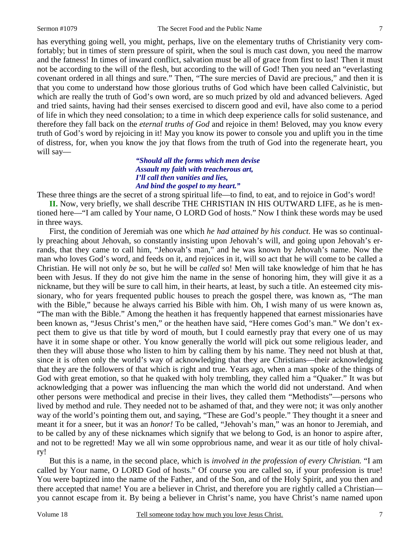has everything going well, you might, perhaps, live on the elementary truths of Christianity very comfortably; but in times of stern pressure of spirit, when the soul is much cast down, you need the marrow and the fatness! In times of inward conflict, salvation must be all of grace from first to last! Then it must not be according to the will of the flesh, but according to the will of God! Then you need an "everlasting covenant ordered in all things and sure." Then, "The sure mercies of David are precious," and then it is that you come to understand how those glorious truths of God which have been called Calvinistic, but which are really the truth of God's own word, are so much prized by old and advanced believers. Aged and tried saints, having had their senses exercised to discern good and evil, have also come to a period of life in which they need consolation; to a time in which deep experience calls for solid sustenance, and therefore they fall back on the *eternal truths of God* and rejoice in them! Beloved, may you know every truth of God's word by rejoicing in it! May you know its power to console you and uplift you in the time of distress, for, when you know the joy that flows from the truth of God into the regenerate heart, you will say—

### *"Should all the forms which men devise Assault my faith with treacherous art, I'll call then vanities and lies, And bind the gospel to my heart."*

These three things are the secret of a strong spiritual life—to find, to eat, and to rejoice in God's word!

**II.** Now, very briefly, we shall describe THE CHRISTIAN IN HIS OUTWARD LIFE, as he is mentioned here—"I am called by Your name, O LORD God of hosts." Now I think these words may be used in three ways.

First, the condition of Jeremiah was one which *he had attained by his conduct.* He was so continually preaching about Jehovah, so constantly insisting upon Jehovah's will, and going upon Jehovah's errands, that they came to call him, "Jehovah's man," and he was known by Jehovah's name. Now the man who loves God's word, and feeds on it, and rejoices in it, will so act that he will come to be called a Christian. He will not only *be* so, but he will be *called* so! Men will take knowledge of him that he has been with Jesus. If they do not give him the name in the sense of honoring him, they will give it as a nickname, but they will be sure to call him, in their hearts, at least, by such a title. An esteemed city missionary, who for years frequented public houses to preach the gospel there, was known as, "The man with the Bible," because he always carried his Bible with him. Oh, I wish many of us were known as, "The man with the Bible." Among the heathen it has frequently happened that earnest missionaries have been known as, "Jesus Christ's men," or the heathen have said, "Here comes God's man." We don't expect them to give us that title by word of mouth, but I could earnestly pray that every one of us may have it in some shape or other. You know generally the world will pick out some religious leader, and then they will abuse those who listen to him by calling them by his name. They need not blush at that, since it is often only the world's way of acknowledging that they are Christians—their acknowledging that they are the followers of that which is right and true. Years ago, when a man spoke of the things of God with great emotion, so that he quaked with holy trembling, they called him a "Quaker." It was but acknowledging that a power was influencing the man which the world did not understand. And when other persons were methodical and precise in their lives, they called them "Methodists"—persons who lived by method and rule. They needed not to be ashamed of that, and they were not; it was only another way of the world's pointing them out, and saying, "These are God's people." They thought it a sneer and meant it for a sneer, but it was an *honor!* To be called, "Jehovah's man," was an honor to Jeremiah, and to be called by any of these nicknames which signify that we belong to God, is an honor to aspire after, and not to be regretted! May we all win some opprobrious name, and wear it as our title of holy chivalry!

But this is a name, in the second place, which is *involved in the profession of every Christian.* "I am called by Your name, O LORD God of hosts." Of course you are called so, if your profession is true! You were baptized into the name of the Father, and of the Son, and of the Holy Spirit, and you then and there accepted that name! You are a believer in Christ, and therefore you are rightly called a Christian you cannot escape from it. By being a believer in Christ's name, you have Christ's name named upon